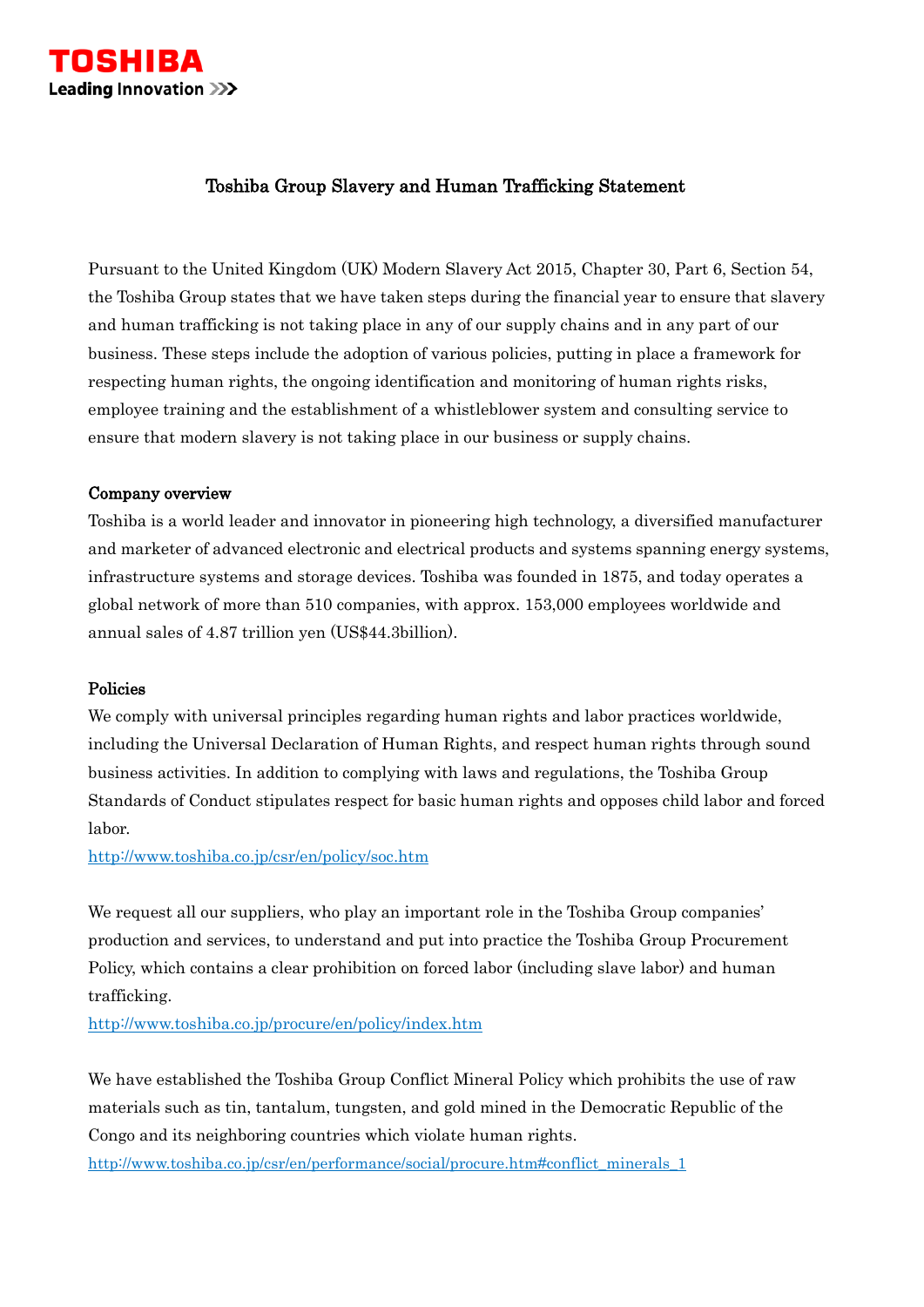

# Toshiba Group Slavery and Human Trafficking Statement

Pursuant to the United Kingdom (UK) Modern Slavery Act 2015, Chapter 30, Part 6, Section 54, the Toshiba Group states that we have taken steps during the financial year to ensure that slavery and human trafficking is not taking place in any of our supply chains and in any part of our business. These steps include the adoption of various policies, putting in place a framework for respecting human rights, the ongoing identification and monitoring of human rights risks, employee training and the establishment of a whistleblower system and consulting service to ensure that modern slavery is not taking place in our business or supply chains.

# Company overview

Toshiba is a world leader and innovator in pioneering high technology, a diversified manufacturer and marketer of advanced electronic and electrical products and systems spanning energy systems, infrastructure systems and storage devices. Toshiba was founded in 1875, and today operates a global network of more than 510 companies, with approx. 153,000 employees worldwide and annual sales of 4.87 trillion yen (US\$44.3billion).

#### Policies

We comply with universal principles regarding human rights and labor practices worldwide, including the Universal Declaration of Human Rights, and respect human rights through sound business activities. In addition to complying with laws and regulations, the Toshiba Group Standards of Conduct stipulates respect for basic human rights and opposes child labor and forced labor.

<http://www.toshiba.co.jp/csr/en/policy/soc.htm>

We request all our suppliers, who play an important role in the Toshiba Group companies' production and services, to understand and put into practice the Toshiba Group Procurement Policy, which contains a clear prohibition on forced labor (including slave labor) and human trafficking.

<http://www.toshiba.co.jp/procure/en/policy/index.htm>

We have established the Toshiba Group Conflict Mineral Policy which prohibits the use of raw materials such as tin, tantalum, tungsten, and gold mined in the Democratic Republic of the Congo and its neighboring countries which violate human rights.

[http://www.toshiba.co.jp/csr/en/performance/social/procure.htm#conflict\\_minerals\\_1](http://www.toshiba.co.jp/csr/en/performance/social/procure.htm#conflict_minerals_1)